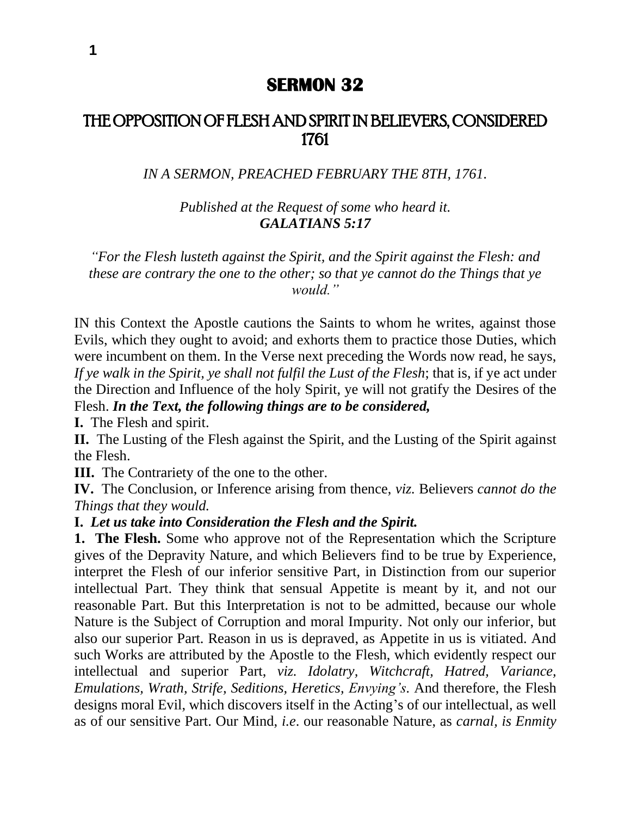# **SERMON 32**

# THE OPPOSITION OF FLESH AND SPIRIT IN BELIEVERS, CONSIDERED 1761

*IN A SERMON, PREACHED FEBRUARY THE 8TH, 1761.*

*Published at the Request of some who heard it. GALATIANS 5:17*

*"For the Flesh lusteth against the Spirit, and the Spirit against the Flesh: and these are contrary the one to the other; so that ye cannot do the Things that ye would."*

IN this Context the Apostle cautions the Saints to whom he writes, against those Evils, which they ought to avoid; and exhorts them to practice those Duties, which were incumbent on them. In the Verse next preceding the Words now read, he says, *If ye walk in the Spirit, ye shall not fulfil the Lust of the Flesh*; that is, if ye act under the Direction and Influence of the holy Spirit, ye will not gratify the Desires of the Flesh. *In the Text, the following things are to be considered,*

**I.** The Flesh and spirit.

**II.** The Lusting of the Flesh against the Spirit, and the Lusting of the Spirit against the Flesh.

**III.** The Contrariety of the one to the other.

**IV.** The Conclusion, or Inference arising from thence, *viz.* Believers *cannot do the Things that they would.*

#### **I.** *Let us take into Consideration the Flesh and the Spirit.*

**1. The Flesh.** Some who approve not of the Representation which the Scripture gives of the Depravity Nature, and which Believers find to be true by Experience, interpret the Flesh of our inferior sensitive Part, in Distinction from our superior intellectual Part. They think that sensual Appetite is meant by it, and not our reasonable Part. But this Interpretation is not to be admitted, because our whole Nature is the Subject of Corruption and moral Impurity. Not only our inferior, but also our superior Part. Reason in us is depraved, as Appetite in us is vitiated. And such Works are attributed by the Apostle to the Flesh, which evidently respect our intellectual and superior Part, *viz. Idolatry, Witchcraft, Hatred, Variance, Emulations, Wrath, Strife, Seditions, Heretics, Envying's.* And therefore, the Flesh designs moral Evil, which discovers itself in the Acting's of our intellectual, as well as of our sensitive Part. Our Mind, *i.e*. our reasonable Nature, as *carnal, is Enmity*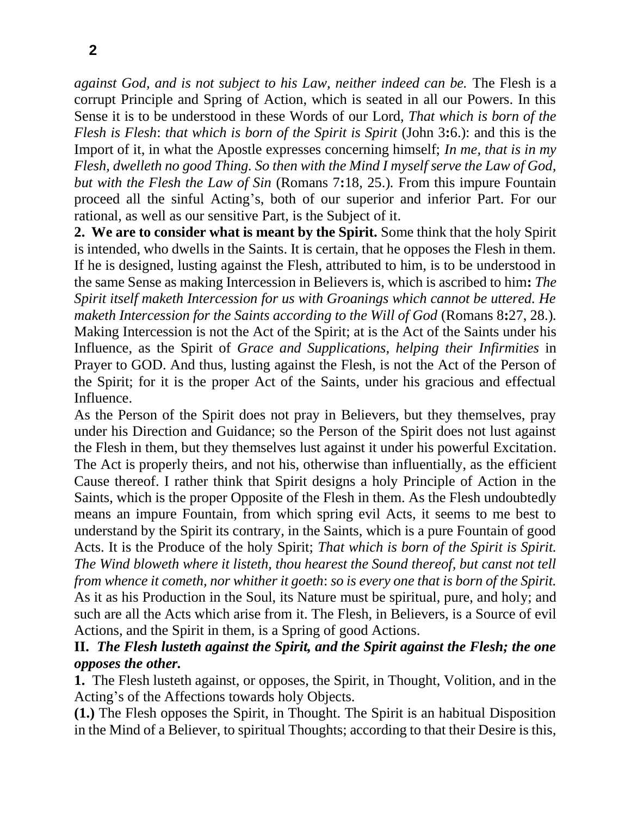*against God, and is not subject to his Law, neither indeed can be.* The Flesh is a corrupt Principle and Spring of Action, which is seated in all our Powers. In this Sense it is to be understood in these Words of our Lord, *That which is born of the Flesh is Flesh*: *that which is born of the Spirit is Spirit* (John 3**:**6.): and this is the Import of it, in what the Apostle expresses concerning himself; *In me, that is in my Flesh, dwelleth no good Thing. So then with the Mind I myself serve the Law of God, but with the Flesh the Law of Sin* (Romans 7**:**18, 25.)*.* From this impure Fountain proceed all the sinful Acting's, both of our superior and inferior Part. For our rational, as well as our sensitive Part, is the Subject of it.

**2. We are to consider what is meant by the Spirit.** Some think that the holy Spirit is intended, who dwells in the Saints. It is certain, that he opposes the Flesh in them. If he is designed, lusting against the Flesh, attributed to him, is to be understood in the same Sense as making Intercession in Believers is, which is ascribed to him**:** *The Spirit itself maketh Intercession for us with Groanings which cannot be uttered. He maketh Intercession for the Saints according to the Will of God (Romans 8:27, 28.).* Making Intercession is not the Act of the Spirit; at is the Act of the Saints under his Influence, as the Spirit of *Grace and Supplications, helping their Infirmities* in Prayer to GOD. And thus, lusting against the Flesh, is not the Act of the Person of the Spirit; for it is the proper Act of the Saints, under his gracious and effectual Influence.

As the Person of the Spirit does not pray in Believers, but they themselves, pray under his Direction and Guidance; so the Person of the Spirit does not lust against the Flesh in them, but they themselves lust against it under his powerful Excitation. The Act is properly theirs, and not his, otherwise than influentially, as the efficient Cause thereof. I rather think that Spirit designs a holy Principle of Action in the Saints, which is the proper Opposite of the Flesh in them. As the Flesh undoubtedly means an impure Fountain, from which spring evil Acts, it seems to me best to understand by the Spirit its contrary, in the Saints, which is a pure Fountain of good Acts. It is the Produce of the holy Spirit; *That which is born of the Spirit is Spirit. The Wind bloweth where it listeth, thou hearest the Sound thereof, but canst not tell from whence it cometh, nor whither it goeth*: *so is every one that is born of the Spirit.*  As it as his Production in the Soul, its Nature must be spiritual, pure, and holy; and such are all the Acts which arise from it. The Flesh, in Believers, is a Source of evil Actions, and the Spirit in them, is a Spring of good Actions.

## **II.** *The Flesh lusteth against the Spirit, and the Spirit against the Flesh; the one opposes the other.*

**1.** The Flesh lusteth against, or opposes, the Spirit, in Thought, Volition, and in the Acting's of the Affections towards holy Objects.

**(1.)** The Flesh opposes the Spirit, in Thought. The Spirit is an habitual Disposition in the Mind of a Believer, to spiritual Thoughts; according to that their Desire is this,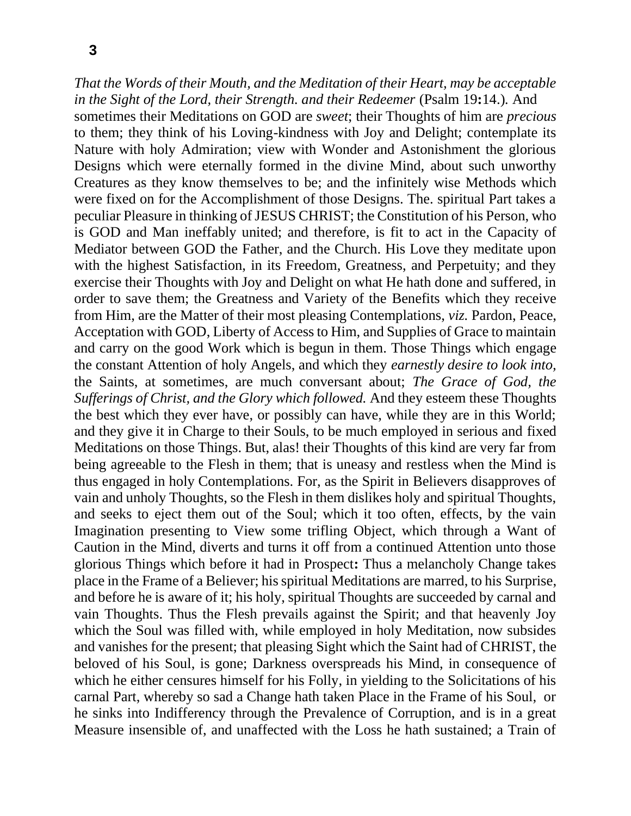*That the Words of their Mouth, and the Meditation of their Heart, may be acceptable in the Sight of the Lord, their Strength. and their Redeemer (Psalm 19:14.).* And sometimes their Meditations on GOD are *sweet*; their Thoughts of him are *precious*  to them; they think of his Loving-kindness with Joy and Delight; contemplate its Nature with holy Admiration; view with Wonder and Astonishment the glorious Designs which were eternally formed in the divine Mind, about such unworthy Creatures as they know themselves to be; and the infinitely wise Methods which were fixed on for the Accomplishment of those Designs. The. spiritual Part takes a peculiar Pleasure in thinking of JESUS CHRIST; the Constitution of his Person, who is GOD and Man ineffably united; and therefore, is fit to act in the Capacity of Mediator between GOD the Father, and the Church. His Love they meditate upon with the highest Satisfaction, in its Freedom, Greatness, and Perpetuity; and they exercise their Thoughts with Joy and Delight on what He hath done and suffered, in order to save them; the Greatness and Variety of the Benefits which they receive from Him, are the Matter of their most pleasing Contemplations, *viz.* Pardon, Peace, Acceptation with GOD, Liberty of Access to Him, and Supplies of Grace to maintain and carry on the good Work which is begun in them. Those Things which engage the constant Attention of holy Angels, and which they *earnestly desire to look into,*  the Saints, at sometimes, are much conversant about; *The Grace of God, the Sufferings of Christ, and the Glory which followed.* And they esteem these Thoughts the best which they ever have, or possibly can have, while they are in this World; and they give it in Charge to their Souls, to be much employed in serious and fixed Meditations on those Things. But, alas! their Thoughts of this kind are very far from being agreeable to the Flesh in them; that is uneasy and restless when the Mind is thus engaged in holy Contemplations. For, as the Spirit in Believers disapproves of vain and unholy Thoughts, so the Flesh in them dislikes holy and spiritual Thoughts, and seeks to eject them out of the Soul; which it too often, effects, by the vain Imagination presenting to View some trifling Object, which through a Want of Caution in the Mind, diverts and turns it off from a continued Attention unto those glorious Things which before it had in Prospect**:** Thus a melancholy Change takes place in the Frame of a Believer; his spiritual Meditations are marred, to his Surprise, and before he is aware of it; his holy, spiritual Thoughts are succeeded by carnal and vain Thoughts. Thus the Flesh prevails against the Spirit; and that heavenly Joy which the Soul was filled with, while employed in holy Meditation, now subsides and vanishes for the present; that pleasing Sight which the Saint had of CHRIST, the beloved of his Soul, is gone; Darkness overspreads his Mind, in consequence of which he either censures himself for his Folly, in yielding to the Solicitations of his carnal Part, whereby so sad a Change hath taken Place in the Frame of his Soul, or he sinks into Indifferency through the Prevalence of Corruption, and is in a great Measure insensible of, and unaffected with the Loss he hath sustained; a Train of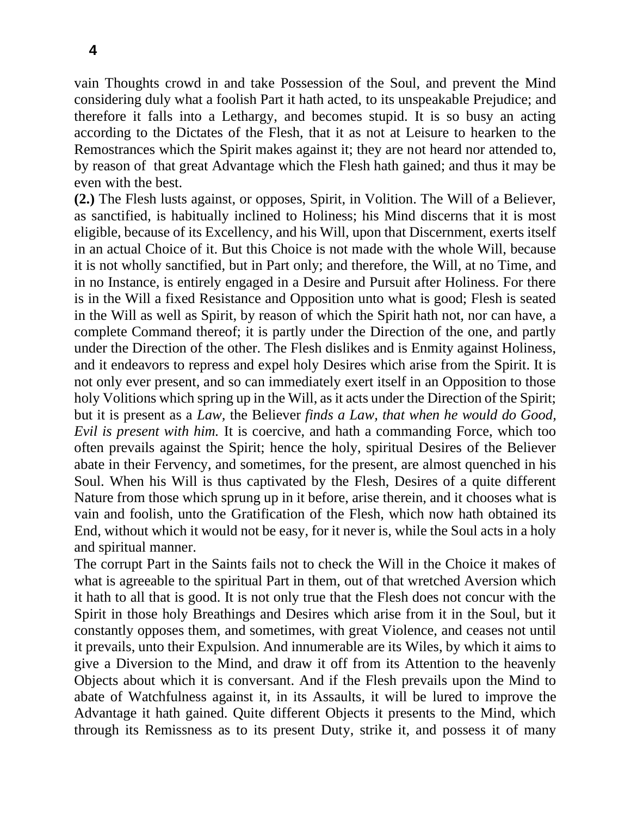**4**

vain Thoughts crowd in and take Possession of the Soul, and prevent the Mind considering duly what a foolish Part it hath acted, to its unspeakable Prejudice; and therefore it falls into a Lethargy, and becomes stupid. It is so busy an acting according to the Dictates of the Flesh, that it as not at Leisure to hearken to the Remostrances which the Spirit makes against it; they are not heard nor attended to, by reason of that great Advantage which the Flesh hath gained; and thus it may be even with the best.

**(2.)** The Flesh lusts against, or opposes, Spirit, in Volition. The Will of a Believer, as sanctified, is habitually inclined to Holiness; his Mind discerns that it is most eligible, because of its Excellency, and his Will, upon that Discernment, exerts itself in an actual Choice of it. But this Choice is not made with the whole Will, because it is not wholly sanctified, but in Part only; and therefore, the Will, at no Time, and in no Instance, is entirely engaged in a Desire and Pursuit after Holiness. For there is in the Will a fixed Resistance and Opposition unto what is good; Flesh is seated in the Will as well as Spirit, by reason of which the Spirit hath not, nor can have, a complete Command thereof; it is partly under the Direction of the one, and partly under the Direction of the other. The Flesh dislikes and is Enmity against Holiness, and it endeavors to repress and expel holy Desires which arise from the Spirit. It is not only ever present, and so can immediately exert itself in an Opposition to those holy Volitions which spring up in the Will, as it acts under the Direction of the Spirit; but it is present as a *Law,* the Believer *finds a Law, that when he would do Good, Evil is present with him.* It is coercive, and hath a commanding Force, which too often prevails against the Spirit; hence the holy, spiritual Desires of the Believer abate in their Fervency, and sometimes, for the present, are almost quenched in his Soul. When his Will is thus captivated by the Flesh, Desires of a quite different Nature from those which sprung up in it before, arise therein, and it chooses what is vain and foolish, unto the Gratification of the Flesh, which now hath obtained its End, without which it would not be easy, for it never is, while the Soul acts in a holy and spiritual manner.

The corrupt Part in the Saints fails not to check the Will in the Choice it makes of what is agreeable to the spiritual Part in them, out of that wretched Aversion which it hath to all that is good. It is not only true that the Flesh does not concur with the Spirit in those holy Breathings and Desires which arise from it in the Soul, but it constantly opposes them, and sometimes, with great Violence, and ceases not until it prevails, unto their Expulsion. And innumerable are its Wiles, by which it aims to give a Diversion to the Mind, and draw it off from its Attention to the heavenly Objects about which it is conversant. And if the Flesh prevails upon the Mind to abate of Watchfulness against it, in its Assaults, it will be lured to improve the Advantage it hath gained. Quite different Objects it presents to the Mind, which through its Remissness as to its present Duty, strike it, and possess it of many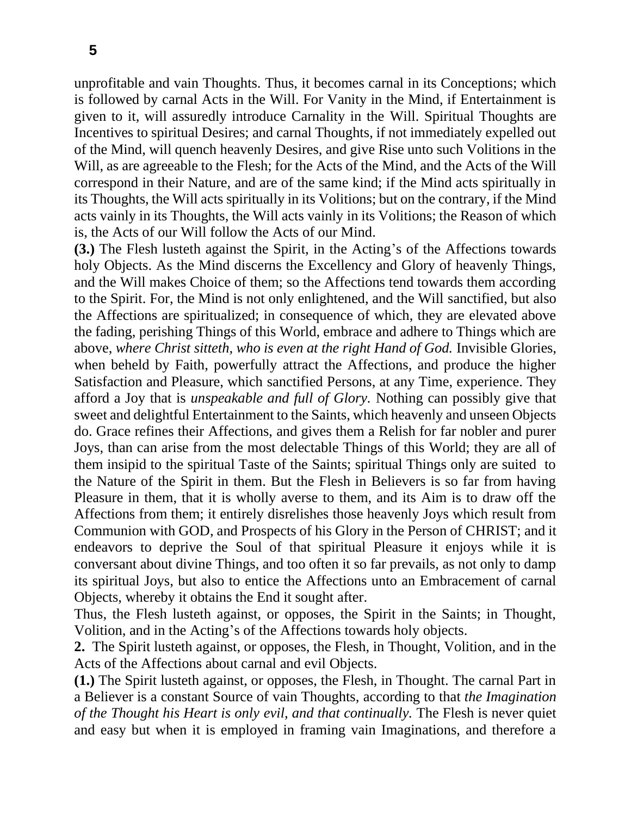unprofitable and vain Thoughts. Thus, it becomes carnal in its Conceptions; which is followed by carnal Acts in the Will. For Vanity in the Mind, if Entertainment is given to it, will assuredly introduce Carnality in the Will. Spiritual Thoughts are Incentives to spiritual Desires; and carnal Thoughts, if not immediately expelled out of the Mind, will quench heavenly Desires, and give Rise unto such Volitions in the Will, as are agreeable to the Flesh; for the Acts of the Mind, and the Acts of the Will correspond in their Nature, and are of the same kind; if the Mind acts spiritually in its Thoughts, the Will acts spiritually in its Volitions; but on the contrary, if the Mind acts vainly in its Thoughts, the Will acts vainly in its Volitions; the Reason of which is, the Acts of our Will follow the Acts of our Mind.

**(3.)** The Flesh lusteth against the Spirit, in the Acting's of the Affections towards holy Objects. As the Mind discerns the Excellency and Glory of heavenly Things, and the Will makes Choice of them; so the Affections tend towards them according to the Spirit. For, the Mind is not only enlightened, and the Will sanctified, but also the Affections are spiritualized; in consequence of which, they are elevated above the fading, perishing Things of this World, embrace and adhere to Things which are above, *where Christ sitteth, who is even at the right Hand of God.* Invisible Glories, when beheld by Faith, powerfully attract the Affections, and produce the higher Satisfaction and Pleasure, which sanctified Persons, at any Time, experience. They afford a Joy that is *unspeakable and full of Glory.* Nothing can possibly give that sweet and delightful Entertainment to the Saints, which heavenly and unseen Objects do. Grace refines their Affections, and gives them a Relish for far nobler and purer Joys, than can arise from the most delectable Things of this World; they are all of them insipid to the spiritual Taste of the Saints; spiritual Things only are suited to the Nature of the Spirit in them. But the Flesh in Believers is so far from having Pleasure in them, that it is wholly averse to them, and its Aim is to draw off the Affections from them; it entirely disrelishes those heavenly Joys which result from Communion with GOD, and Prospects of his Glory in the Person of CHRIST; and it endeavors to deprive the Soul of that spiritual Pleasure it enjoys while it is conversant about divine Things, and too often it so far prevails, as not only to damp its spiritual Joys, but also to entice the Affections unto an Embracement of carnal Objects, whereby it obtains the End it sought after.

Thus, the Flesh lusteth against, or opposes, the Spirit in the Saints; in Thought, Volition, and in the Acting's of the Affections towards holy objects.

**2.** The Spirit lusteth against, or opposes, the Flesh, in Thought, Volition, and in the Acts of the Affections about carnal and evil Objects.

**(1.)** The Spirit lusteth against, or opposes, the Flesh, in Thought. The carnal Part in a Believer is a constant Source of vain Thoughts, according to that *the Imagination of the Thought his Heart is only evil, and that continually.* The Flesh is never quiet and easy but when it is employed in framing vain Imaginations, and therefore a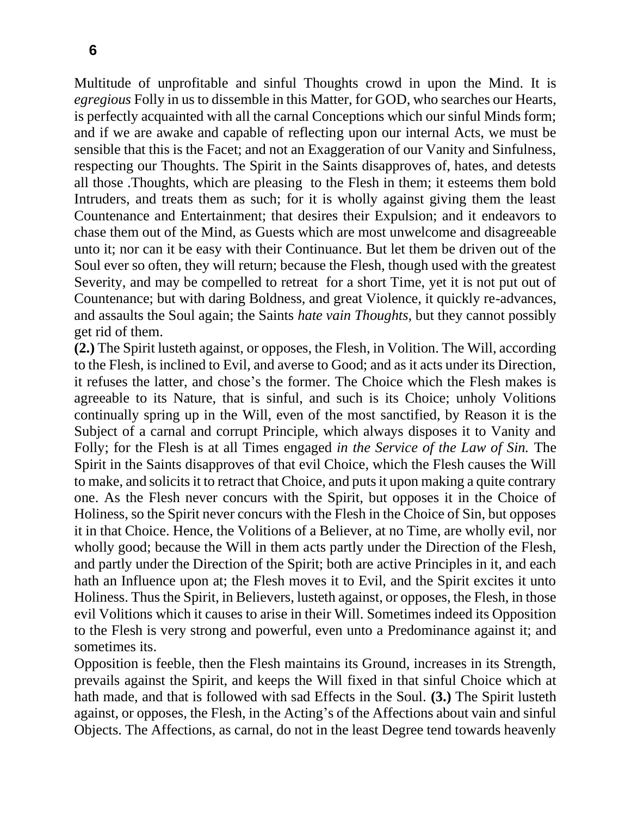Multitude of unprofitable and sinful Thoughts crowd in upon the Mind. It is *egregious* Folly in us to dissemble in this Matter, for GOD, who searches our Hearts, is perfectly acquainted with all the carnal Conceptions which our sinful Minds form; and if we are awake and capable of reflecting upon our internal Acts, we must be sensible that this is the Facet; and not an Exaggeration of our Vanity and Sinfulness, respecting our Thoughts. The Spirit in the Saints disapproves of, hates, and detests all those .Thoughts, which are pleasing to the Flesh in them; it esteems them bold Intruders, and treats them as such; for it is wholly against giving them the least Countenance and Entertainment; that desires their Expulsion; and it endeavors to chase them out of the Mind, as Guests which are most unwelcome and disagreeable unto it; nor can it be easy with their Continuance. But let them be driven out of the Soul ever so often, they will return; because the Flesh, though used with the greatest Severity, and may be compelled to retreat for a short Time, yet it is not put out of Countenance; but with daring Boldness, and great Violence, it quickly re-advances, and assaults the Soul again; the Saints *hate vain Thoughts,* but they cannot possibly get rid of them.

**(2.)** The Spirit lusteth against, or opposes, the Flesh, in Volition. The Will, according to the Flesh, is inclined to Evil, and averse to Good; and as it acts under its Direction, it refuses the latter, and chose's the former. The Choice which the Flesh makes is agreeable to its Nature, that is sinful, and such is its Choice; unholy Volitions continually spring up in the Will, even of the most sanctified, by Reason it is the Subject of a carnal and corrupt Principle, which always disposes it to Vanity and Folly; for the Flesh is at all Times engaged *in the Service of the Law of Sin.* The Spirit in the Saints disapproves of that evil Choice, which the Flesh causes the Will to make, and solicits it to retract that Choice, and puts it upon making a quite contrary one. As the Flesh never concurs with the Spirit, but opposes it in the Choice of Holiness, so the Spirit never concurs with the Flesh in the Choice of Sin, but opposes it in that Choice. Hence, the Volitions of a Believer, at no Time, are wholly evil, nor wholly good; because the Will in them acts partly under the Direction of the Flesh, and partly under the Direction of the Spirit; both are active Principles in it, and each hath an Influence upon at; the Flesh moves it to Evil, and the Spirit excites it unto Holiness. Thus the Spirit, in Believers, lusteth against, or opposes, the Flesh, in those evil Volitions which it causes to arise in their Will. Sometimes indeed its Opposition to the Flesh is very strong and powerful, even unto a Predominance against it; and sometimes its.

Opposition is feeble, then the Flesh maintains its Ground, increases in its Strength, prevails against the Spirit, and keeps the Will fixed in that sinful Choice which at hath made, and that is followed with sad Effects in the Soul. **(3.)** The Spirit lusteth against, or opposes, the Flesh, in the Acting's of the Affections about vain and sinful Objects. The Affections, as carnal, do not in the least Degree tend towards heavenly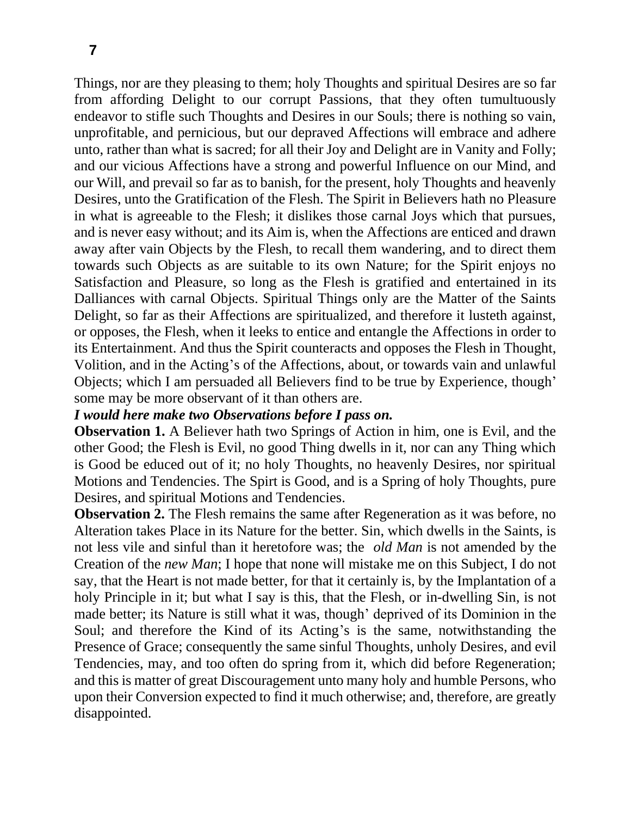Things, nor are they pleasing to them; holy Thoughts and spiritual Desires are so far from affording Delight to our corrupt Passions, that they often tumultuously endeavor to stifle such Thoughts and Desires in our Souls; there is nothing so vain, unprofitable, and pernicious, but our depraved Affections will embrace and adhere unto, rather than what is sacred; for all their Joy and Delight are in Vanity and Folly; and our vicious Affections have a strong and powerful Influence on our Mind, and our Will, and prevail so far as to banish, for the present, holy Thoughts and heavenly Desires, unto the Gratification of the Flesh. The Spirit in Believers hath no Pleasure in what is agreeable to the Flesh; it dislikes those carnal Joys which that pursues, and is never easy without; and its Aim is, when the Affections are enticed and drawn away after vain Objects by the Flesh, to recall them wandering, and to direct them towards such Objects as are suitable to its own Nature; for the Spirit enjoys no Satisfaction and Pleasure, so long as the Flesh is gratified and entertained in its Dalliances with carnal Objects. Spiritual Things only are the Matter of the Saints Delight, so far as their Affections are spiritualized, and therefore it lusteth against, or opposes, the Flesh, when it leeks to entice and entangle the Affections in order to its Entertainment. And thus the Spirit counteracts and opposes the Flesh in Thought, Volition, and in the Acting's of the Affections, about, or towards vain and unlawful Objects; which I am persuaded all Believers find to be true by Experience, though' some may be more observant of it than others are.

#### *I would here make two Observations before I pass on.*

**Observation 1.** A Believer hath two Springs of Action in him, one is Evil, and the other Good; the Flesh is Evil, no good Thing dwells in it, nor can any Thing which is Good be educed out of it; no holy Thoughts, no heavenly Desires, nor spiritual Motions and Tendencies. The Spirt is Good, and is a Spring of holy Thoughts, pure Desires, and spiritual Motions and Tendencies.

**Observation 2.** The Flesh remains the same after Regeneration as it was before, no Alteration takes Place in its Nature for the better. Sin, which dwells in the Saints, is not less vile and sinful than it heretofore was; the *old Man* is not amended by the Creation of the *new Man*; I hope that none will mistake me on this Subject, I do not say, that the Heart is not made better, for that it certainly is, by the Implantation of a holy Principle in it; but what I say is this, that the Flesh, or in-dwelling Sin, is not made better; its Nature is still what it was, though' deprived of its Dominion in the Soul; and therefore the Kind of its Acting's is the same, notwithstanding the Presence of Grace; consequently the same sinful Thoughts, unholy Desires, and evil Tendencies, may, and too often do spring from it, which did before Regeneration; and this is matter of great Discouragement unto many holy and humble Persons, who upon their Conversion expected to find it much otherwise; and, therefore, are greatly disappointed.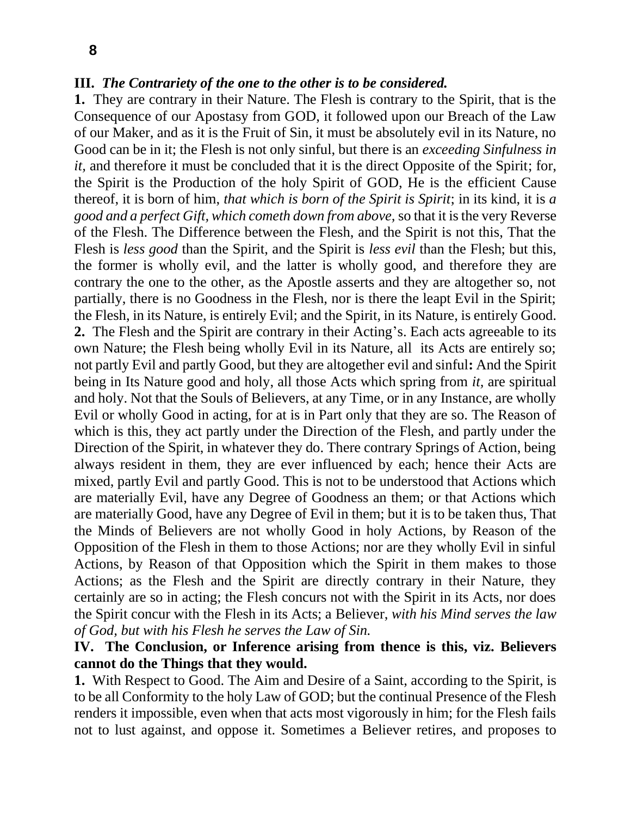### **III.** *The Contrariety of the one to the other is to be considered.*

**1.** They are contrary in their Nature. The Flesh is contrary to the Spirit, that is the Consequence of our Apostasy from GOD, it followed upon our Breach of the Law of our Maker, and as it is the Fruit of Sin, it must be absolutely evil in its Nature, no Good can be in it; the Flesh is not only sinful, but there is an *exceeding Sinfulness in it*, and therefore it must be concluded that it is the direct Opposite of the Spirit; for, the Spirit is the Production of the holy Spirit of GOD, He is the efficient Cause thereof, it is born of him, *that which is born of the Spirit is Spirit*; in its kind, it is *a good and a perfect Gift, which cometh down from above,* so that it is the very Reverse of the Flesh. The Difference between the Flesh, and the Spirit is not this, That the Flesh is *less good* than the Spirit, and the Spirit is *less evil* than the Flesh; but this, the former is wholly evil, and the latter is wholly good, and therefore they are contrary the one to the other, as the Apostle asserts and they are altogether so, not partially, there is no Goodness in the Flesh, nor is there the leapt Evil in the Spirit; the Flesh, in its Nature, is entirely Evil; and the Spirit, in its Nature, is entirely Good. **2.** The Flesh and the Spirit are contrary in their Acting's. Each acts agreeable to its own Nature; the Flesh being wholly Evil in its Nature, all its Acts are entirely so; not partly Evil and partly Good, but they are altogether evil and sinful**:** And the Spirit being in Its Nature good and holy, all those Acts which spring from *it,* are spiritual and holy. Not that the Souls of Believers, at any Time, or in any Instance, are wholly Evil or wholly Good in acting, for at is in Part only that they are so. The Reason of which is this, they act partly under the Direction of the Flesh, and partly under the Direction of the Spirit, in whatever they do. There contrary Springs of Action, being always resident in them, they are ever influenced by each; hence their Acts are mixed, partly Evil and partly Good. This is not to be understood that Actions which are materially Evil, have any Degree of Goodness an them; or that Actions which are materially Good, have any Degree of Evil in them; but it is to be taken thus, That the Minds of Believers are not wholly Good in holy Actions, by Reason of the Opposition of the Flesh in them to those Actions; nor are they wholly Evil in sinful Actions, by Reason of that Opposition which the Spirit in them makes to those Actions; as the Flesh and the Spirit are directly contrary in their Nature, they certainly are so in acting; the Flesh concurs not with the Spirit in its Acts, nor does the Spirit concur with the Flesh in its Acts; a Believer, *with his Mind serves the law of God, but with his Flesh he serves the Law of Sin.*

### **IV. The Conclusion, or Inference arising from thence is this, viz. Believers cannot do the Things that they would.**

**1.** With Respect to Good. The Aim and Desire of a Saint, according to the Spirit, is to be all Conformity to the holy Law of GOD; but the continual Presence of the Flesh renders it impossible, even when that acts most vigorously in him; for the Flesh fails not to lust against, and oppose it. Sometimes a Believer retires, and proposes to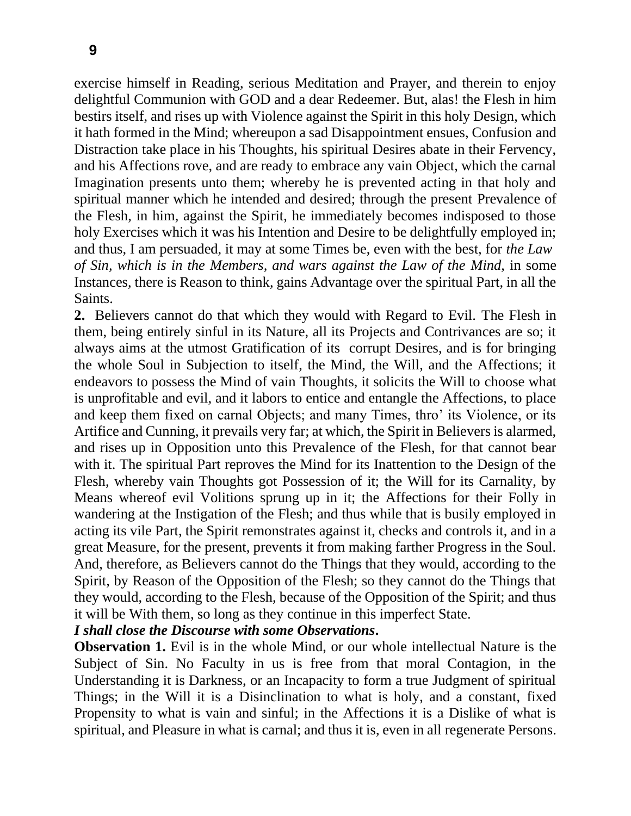exercise himself in Reading, serious Meditation and Prayer, and therein to enjoy delightful Communion with GOD and a dear Redeemer. But, alas! the Flesh in him bestirs itself, and rises up with Violence against the Spirit in this holy Design, which it hath formed in the Mind; whereupon a sad Disappointment ensues, Confusion and Distraction take place in his Thoughts, his spiritual Desires abate in their Fervency, and his Affections rove, and are ready to embrace any vain Object, which the carnal Imagination presents unto them; whereby he is prevented acting in that holy and spiritual manner which he intended and desired; through the present Prevalence of the Flesh, in him, against the Spirit, he immediately becomes indisposed to those holy Exercises which it was his Intention and Desire to be delightfully employed in; and thus, I am persuaded, it may at some Times be, even with the best, for *the Law of Sin, which is in the Members, and wars against the Law of the Mind,* in some Instances, there is Reason to think, gains Advantage over the spiritual Part, in all the Saints.

**2.** Believers cannot do that which they would with Regard to Evil. The Flesh in them, being entirely sinful in its Nature, all its Projects and Contrivances are so; it always aims at the utmost Gratification of its corrupt Desires, and is for bringing the whole Soul in Subjection to itself, the Mind, the Will, and the Affections; it endeavors to possess the Mind of vain Thoughts, it solicits the Will to choose what is unprofitable and evil, and it labors to entice and entangle the Affections, to place and keep them fixed on carnal Objects; and many Times, thro' its Violence, or its Artifice and Cunning, it prevails very far; at which, the Spirit in Believers is alarmed, and rises up in Opposition unto this Prevalence of the Flesh, for that cannot bear with it. The spiritual Part reproves the Mind for its Inattention to the Design of the Flesh, whereby vain Thoughts got Possession of it; the Will for its Carnality, by Means whereof evil Volitions sprung up in it; the Affections for their Folly in wandering at the Instigation of the Flesh; and thus while that is busily employed in acting its vile Part, the Spirit remonstrates against it, checks and controls it, and in a great Measure, for the present, prevents it from making farther Progress in the Soul. And, therefore, as Believers cannot do the Things that they would, according to the Spirit, by Reason of the Opposition of the Flesh; so they cannot do the Things that they would, according to the Flesh, because of the Opposition of the Spirit; and thus it will be With them, so long as they continue in this imperfect State.

#### *I shall close the Discourse with some Observations***.**

**Observation 1.** Evil is in the whole Mind, or our whole intellectual Nature is the Subject of Sin. No Faculty in us is free from that moral Contagion, in the Understanding it is Darkness, or an Incapacity to form a true Judgment of spiritual Things; in the Will it is a Disinclination to what is holy, and a constant, fixed Propensity to what is vain and sinful; in the Affections it is a Dislike of what is spiritual, and Pleasure in what is carnal; and thus it is, even in all regenerate Persons.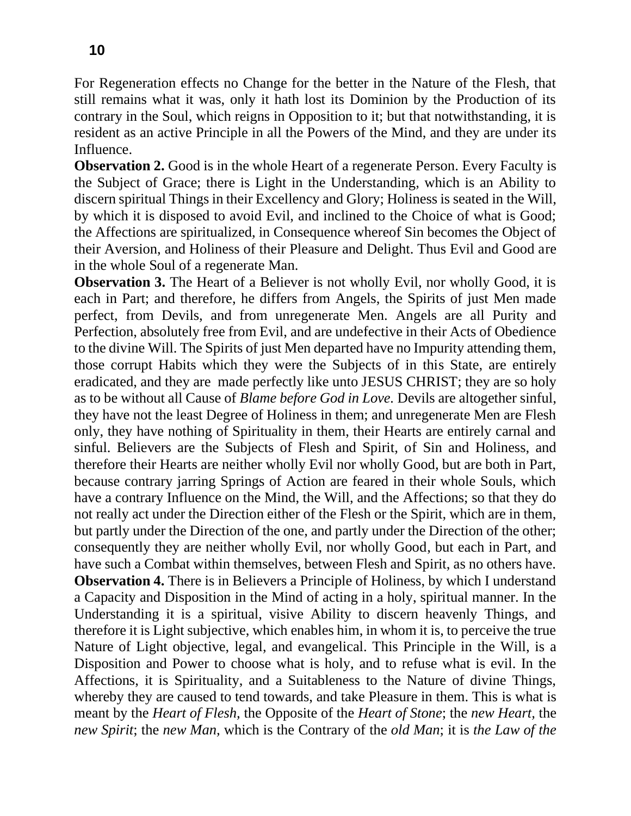For Regeneration effects no Change for the better in the Nature of the Flesh, that still remains what it was, only it hath lost its Dominion by the Production of its contrary in the Soul, which reigns in Opposition to it; but that notwithstanding, it is resident as an active Principle in all the Powers of the Mind, and they are under its Influence.

**Observation 2.** Good is in the whole Heart of a regenerate Person. Every Faculty is the Subject of Grace; there is Light in the Understanding, which is an Ability to discern spiritual Things in their Excellency and Glory; Holiness is seated in the Will, by which it is disposed to avoid Evil, and inclined to the Choice of what is Good; the Affections are spiritualized, in Consequence whereof Sin becomes the Object of their Aversion, and Holiness of their Pleasure and Delight. Thus Evil and Good are in the whole Soul of a regenerate Man.

**Observation 3.** The Heart of a Believer is not wholly Evil, nor wholly Good, it is each in Part; and therefore, he differs from Angels, the Spirits of just Men made perfect, from Devils, and from unregenerate Men. Angels are all Purity and Perfection, absolutely free from Evil, and are undefective in their Acts of Obedience to the divine Will. The Spirits of just Men departed have no Impurity attending them, those corrupt Habits which they were the Subjects of in this State, are entirely eradicated, and they are made perfectly like unto JESUS CHRIST; they are so holy as to be without all Cause of *Blame before God in Love.* Devils are altogether sinful, they have not the least Degree of Holiness in them; and unregenerate Men are Flesh only, they have nothing of Spirituality in them, their Hearts are entirely carnal and sinful. Believers are the Subjects of Flesh and Spirit, of Sin and Holiness, and therefore their Hearts are neither wholly Evil nor wholly Good, but are both in Part, because contrary jarring Springs of Action are feared in their whole Souls, which have a contrary Influence on the Mind, the Will, and the Affections; so that they do not really act under the Direction either of the Flesh or the Spirit, which are in them, but partly under the Direction of the one, and partly under the Direction of the other; consequently they are neither wholly Evil, nor wholly Good, but each in Part, and have such a Combat within themselves, between Flesh and Spirit, as no others have. **Observation 4.** There is in Believers a Principle of Holiness, by which I understand a Capacity and Disposition in the Mind of acting in a holy, spiritual manner. In the Understanding it is a spiritual, visive Ability to discern heavenly Things, and therefore it is Light subjective, which enables him, in whom it is, to perceive the true Nature of Light objective, legal, and evangelical. This Principle in the Will, is a Disposition and Power to choose what is holy, and to refuse what is evil. In the Affections, it is Spirituality, and a Suitableness to the Nature of divine Things, whereby they are caused to tend towards, and take Pleasure in them. This is what is meant by the *Heart of Flesh,* the Opposite of the *Heart of Stone*; the *new Heart,* the *new Spirit*; the *new Man,* which is the Contrary of the *old Man*; it is *the Law of the*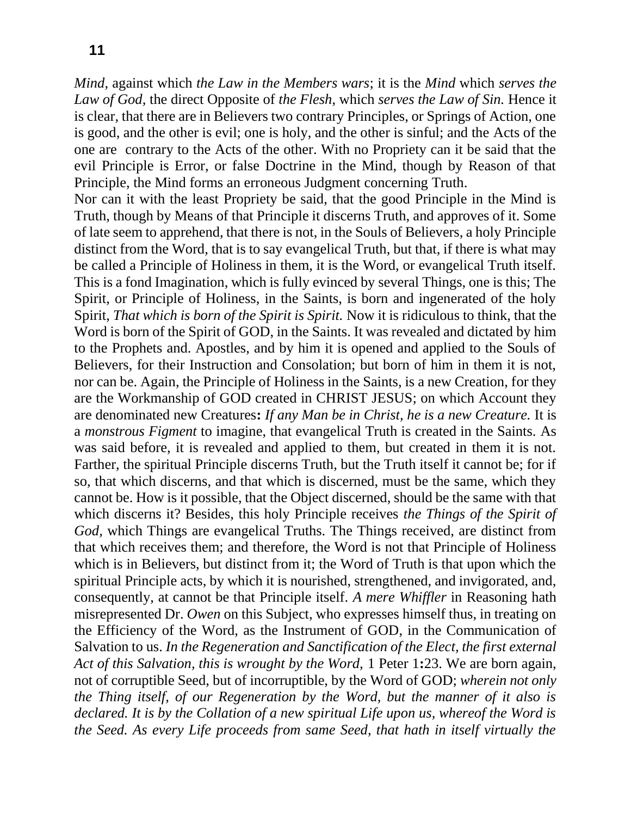*Mind,* against which *the Law in the Members wars*; it is the *Mind* which *serves the Law of God,* the direct Opposite of *the Flesh*, which *serves the Law of Sin.* Hence it is clear, that there are in Believers two contrary Principles, or Springs of Action, one is good, and the other is evil; one is holy, and the other is sinful; and the Acts of the one are contrary to the Acts of the other. With no Propriety can it be said that the evil Principle is Error, or false Doctrine in the Mind, though by Reason of that Principle, the Mind forms an erroneous Judgment concerning Truth.

Nor can it with the least Propriety be said, that the good Principle in the Mind is Truth, though by Means of that Principle it discerns Truth, and approves of it. Some of late seem to apprehend, that there is not, in the Souls of Believers, a holy Principle distinct from the Word, that is to say evangelical Truth, but that, if there is what may be called a Principle of Holiness in them, it is the Word, or evangelical Truth itself. This is a fond Imagination, which is fully evinced by several Things, one is this; The Spirit, or Principle of Holiness, in the Saints, is born and ingenerated of the holy Spirit, *That which is born of the Spirit is Spirit.* Now it is ridiculous to think, that the Word is born of the Spirit of GOD, in the Saints. It was revealed and dictated by him to the Prophets and. Apostles, and by him it is opened and applied to the Souls of Believers, for their Instruction and Consolation; but born of him in them it is not, nor can be. Again, the Principle of Holiness in the Saints, is a new Creation, for they are the Workmanship of GOD created in CHRIST JESUS; on which Account they are denominated new Creatures**:** *If any Man be in Christ, he is a new Creature.* It is a *monstrous Figment* to imagine, that evangelical Truth is created in the Saints. As was said before, it is revealed and applied to them, but created in them it is not. Farther, the spiritual Principle discerns Truth, but the Truth itself it cannot be; for if so, that which discerns, and that which is discerned, must be the same, which they cannot be. How is it possible, that the Object discerned, should be the same with that which discerns it? Besides, this holy Principle receives *the Things of the Spirit of God,* which Things are evangelical Truths. The Things received, are distinct from that which receives them; and therefore, the Word is not that Principle of Holiness which is in Believers, but distinct from it; the Word of Truth is that upon which the spiritual Principle acts, by which it is nourished, strengthened, and invigorated, and, consequently, at cannot be that Principle itself. *A mere Whiffler* in Reasoning hath misrepresented Dr. *Owen* on this Subject, who expresses himself thus, in treating on the Efficiency of the Word, as the Instrument of GOD, in the Communication of Salvation to us. *In the Regeneration and Sanctification of the Elect, the first external Act of this Salvation, this is wrought by the Word,* 1 Peter 1**:**23. We are born again, not of corruptible Seed, but of incorruptible, by the Word of GOD; *wherein not only the Thing itself, of our Regeneration by the Word, but the manner of it also is declared. It is by the Collation of a new spiritual Life upon us, whereof the Word is the Seed. As every Life proceeds from same Seed, that hath in itself virtually the*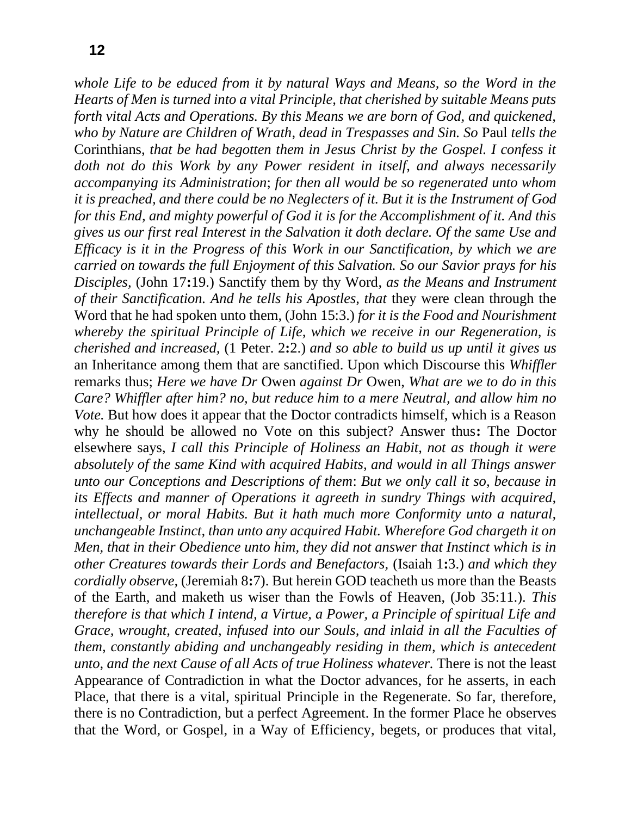*whole Life to be educed from it by natural Ways and Means, so the Word in the Hearts of Men is turned into a vital Principle, that cherished by suitable Means puts forth vital Acts and Operations. By this Means we are born of God, and quickened, who by Nature are Children of Wrath, dead in Trespasses and Sin. So* Paul *tells the*  Corinthians, *that be had begotten them in Jesus Christ by the Gospel. I confess it doth not do this Work by any Power resident in itself, and always necessarily accompanying its Administration*; *for then all would be so regenerated unto whom it is preached, and there could be no Neglecters of it. But it is the Instrument of God for this End, and mighty powerful of God it is for the Accomplishment of it. And this gives us our first real Interest in the Salvation it doth declare. Of the same Use and Efficacy is it in the Progress of this Work in our Sanctification, by which we are carried on towards the full Enjoyment of this Salvation. So our Savior prays for his Disciples,* (John 17**:**19.) Sanctify them by thy Word, *as the Means and Instrument of their Sanctification. And he tells his Apostles, that* they were clean through the Word that he had spoken unto them, (John 15:3.) *for it is the Food and Nourishment whereby the spiritual Principle of Life, which we receive in our Regeneration, is cherished and increased,* (1 Peter. 2**:**2.) *and so able to build us up until it gives us*  an Inheritance among them that are sanctified. Upon which Discourse this *Whiffler* remarks thus; *Here we have Dr* Owen *against Dr* Owen, *What are we to do in this Care? Whiffler after him? no, but reduce him to a mere Neutral, and allow him no Vote*. But how does it appear that the Doctor contradicts himself, which is a Reason why he should be allowed no Vote on this subject? Answer thus**:** The Doctor elsewhere says, *I call this Principle of Holiness an Habit, not as though it were absolutely of the same Kind with acquired Habits, and would in all Things answer unto our Conceptions and Descriptions of them*: *But we only call it so, because in its Effects and manner of Operations it agreeth in sundry Things with acquired, intellectual, or moral Habits. But it hath much more Conformity unto a natural, unchangeable Instinct, than unto any acquired Habit. Wherefore God chargeth it on Men, that in their Obedience unto him, they did not answer that Instinct which is in other Creatures towards their Lords and Benefactors,* (Isaiah 1**:**3.) *and which they cordially observe,* (Jeremiah 8**:**7). But herein GOD teacheth us more than the Beasts of the Earth, and maketh us wiser than the Fowls of Heaven, (Job 35:11.). *This therefore is that which I intend, a Virtue, a Power, a Principle of spiritual Life and Grace, wrought, created, infused into our Souls, and inlaid in all the Faculties of them, constantly abiding and unchangeably residing in them, which is antecedent unto, and the next Cause of all Acts of true Holiness whatever.* There is not the least Appearance of Contradiction in what the Doctor advances, for he asserts, in each Place, that there is a vital, spiritual Principle in the Regenerate. So far, therefore, there is no Contradiction, but a perfect Agreement. In the former Place he observes that the Word, or Gospel, in a Way of Efficiency, begets, or produces that vital,